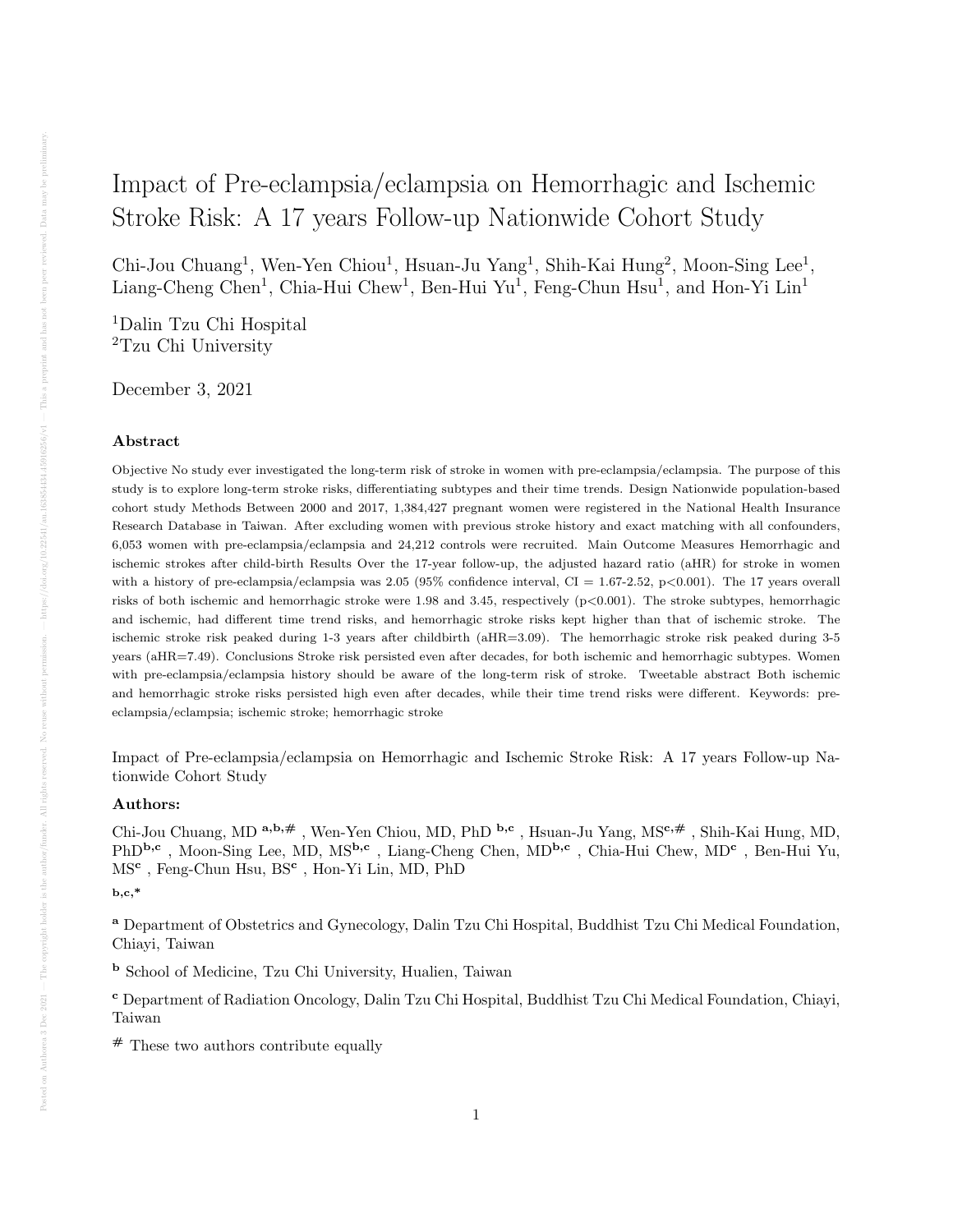# Impact of Pre-eclampsia/eclampsia on Hemorrhagic and Ischemic Stroke Risk: A 17 years Follow-up Nationwide Cohort Study

Chi-Jou Chuang<sup>1</sup>, Wen-Yen Chiou<sup>1</sup>, Hsuan-Ju Yang<sup>1</sup>, Shih-Kai Hung<sup>2</sup>, Moon-Sing Lee<sup>1</sup>, Liang-Cheng Chen<sup>1</sup>, Chia-Hui Chew<sup>1</sup>, Ben-Hui Yu<sup>1</sup>, Feng-Chun Hsu<sup>1</sup>, and Hon-Yi Lin<sup>1</sup>

<sup>1</sup>Dalin Tzu Chi Hospital <sup>2</sup>Tzu Chi University

December 3, 2021

## Abstract

Objective No study ever investigated the long-term risk of stroke in women with pre-eclampsia/eclampsia. The purpose of this study is to explore long-term stroke risks, differentiating subtypes and their time trends. Design Nationwide population-based cohort study Methods Between 2000 and 2017, 1,384,427 pregnant women were registered in the National Health Insurance Research Database in Taiwan. After excluding women with previous stroke history and exact matching with all confounders, 6,053 women with pre-eclampsia/eclampsia and 24,212 controls were recruited. Main Outcome Measures Hemorrhagic and ischemic strokes after child-birth Results Over the 17-year follow-up, the adjusted hazard ratio (aHR) for stroke in women with a history of pre-eclampsia/eclampsia was  $2.05$  (95% confidence interval, CI = 1.67-2.52, p<0.001). The 17 years overall risks of both ischemic and hemorrhagic stroke were 1.98 and 3.45, respectively (p<0.001). The stroke subtypes, hemorrhagic and ischemic, had different time trend risks, and hemorrhagic stroke risks kept higher than that of ischemic stroke. The ischemic stroke risk peaked during 1-3 years after childbirth (aHR=3.09). The hemorrhagic stroke risk peaked during 3-5 years (aHR=7.49). Conclusions Stroke risk persisted even after decades, for both ischemic and hemorrhagic subtypes. Women with pre-eclampsia/eclampsia history should be aware of the long-term risk of stroke. Tweetable abstract Both ischemic and hemorrhagic stroke risks persisted high even after decades, while their time trend risks were different. Keywords: preeclampsia/eclampsia; ischemic stroke; hemorrhagic stroke

Impact of Pre-eclampsia/eclampsia on Hemorrhagic and Ischemic Stroke Risk: A 17 years Follow-up Nationwide Cohort Study

## Authors:

Chi-Jou Chuang, MD a,b,# , Wen-Yen Chiou, MD, PhD b,c , Hsuan-Ju Yang, MSc,# , Shih-Kai Hung, MD, PhD<sup>b,c</sup>, Moon-Sing Lee, MD, MS<sup>b,c</sup>, Liang-Cheng Chen, MD<sup>b,c</sup>, Chia-Hui Chew, MD<sup>c</sup>, Ben-Hui Yu, MS<sup>c</sup>, Feng-Chun Hsu, BS<sup>c</sup>, Hon-Yi Lin, MD, PhD

#### $_{\rm b,c,*}$

<sup>a</sup> Department of Obstetrics and Gynecology, Dalin Tzu Chi Hospital, Buddhist Tzu Chi Medical Foundation, Chiayi, Taiwan

<sup>b</sup> School of Medicine, Tzu Chi University, Hualien, Taiwan

<sup>c</sup> Department of Radiation Oncology, Dalin Tzu Chi Hospital, Buddhist Tzu Chi Medical Foundation, Chiayi, Taiwan

# These two authors contribute equally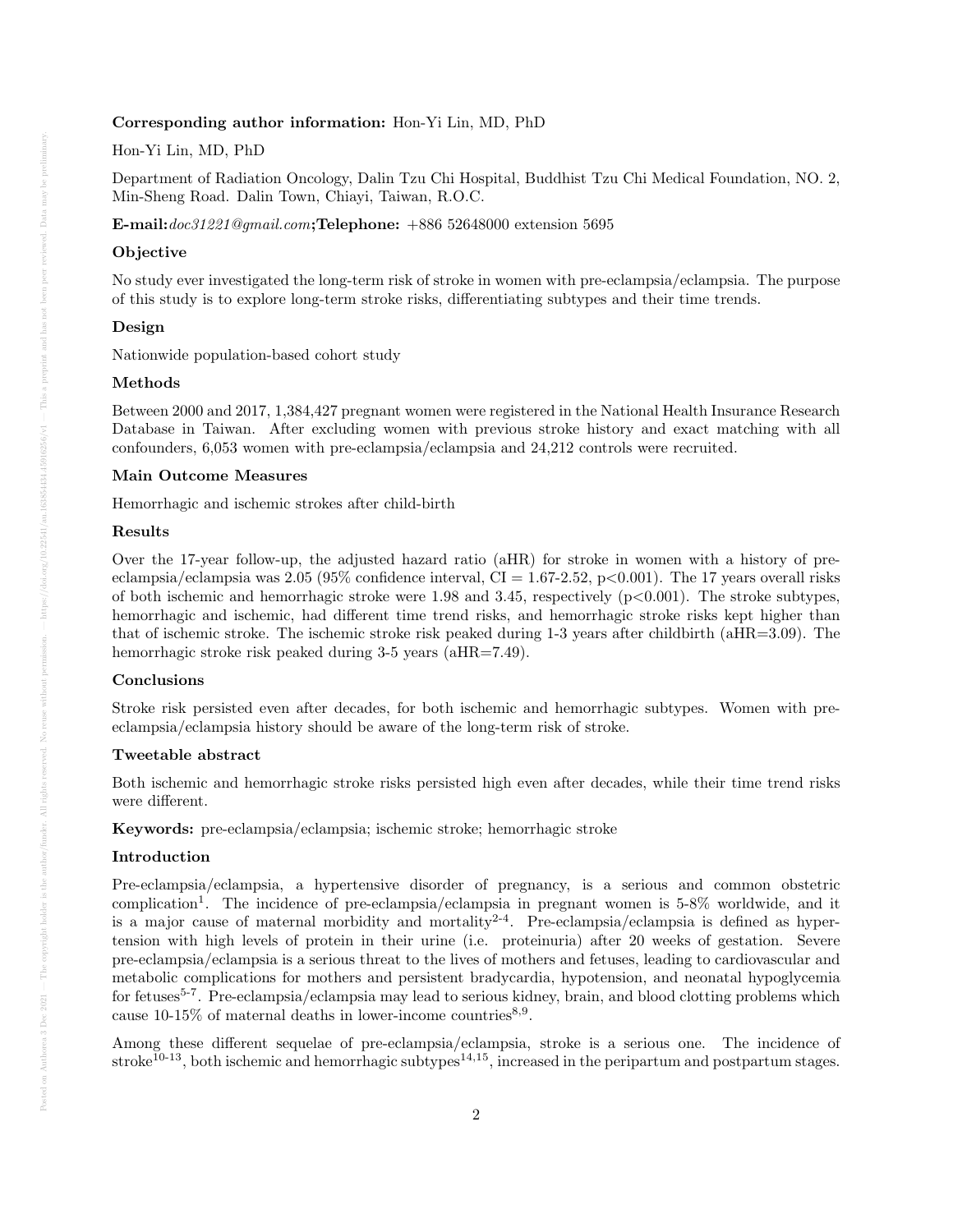## Corresponding author information: Hon-Yi Lin, MD, PhD

## Hon-Yi Lin, MD, PhD

Department of Radiation Oncology, Dalin Tzu Chi Hospital, Buddhist Tzu Chi Medical Foundation, NO. 2, Min-Sheng Road. Dalin Town, Chiayi, Taiwan, R.O.C.

E-mail:doc31221@gmail.com;Telephone: +886 52648000 extension 5695

## Objective

No study ever investigated the long-term risk of stroke in women with pre-eclampsia/eclampsia. The purpose of this study is to explore long-term stroke risks, differentiating subtypes and their time trends.

## Design

Nationwide population-based cohort study

## Methods

Between 2000 and 2017, 1,384,427 pregnant women were registered in the National Health Insurance Research Database in Taiwan. After excluding women with previous stroke history and exact matching with all confounders, 6,053 women with pre-eclampsia/eclampsia and 24,212 controls were recruited.

#### Main Outcome Measures

Hemorrhagic and ischemic strokes after child-birth

## Results

Over the 17-year follow-up, the adjusted hazard ratio (aHR) for stroke in women with a history of preeclampsia/eclampsia was 2.05 (95% confidence interval, CI = 1.67-2.52, p $\lt$ 0.001). The 17 years overall risks of both ischemic and hemorrhagic stroke were 1.98 and 3.45, respectively  $(p<0.001)$ . The stroke subtypes, hemorrhagic and ischemic, had different time trend risks, and hemorrhagic stroke risks kept higher than that of ischemic stroke. The ischemic stroke risk peaked during 1-3 years after childbirth (aHR=3.09). The hemorrhagic stroke risk peaked during 3-5 years (aHR=7.49).

## Conclusions

Stroke risk persisted even after decades, for both ischemic and hemorrhagic subtypes. Women with preeclampsia/eclampsia history should be aware of the long-term risk of stroke.

### Tweetable abstract

Both ischemic and hemorrhagic stroke risks persisted high even after decades, while their time trend risks were different.

Keywords: pre-eclampsia/eclampsia; ischemic stroke; hemorrhagic stroke

## Introduction

Pre-eclampsia/eclampsia, a hypertensive disorder of pregnancy, is a serious and common obstetric complication<sup>1</sup>. The incidence of pre-eclampsia/eclampsia in pregnant women is 5-8% worldwide, and it is a major cause of maternal morbidity and mortality<sup>2-4</sup>. Pre-eclampsia/eclampsia is defined as hypertension with high levels of protein in their urine (i.e. proteinuria) after 20 weeks of gestation. Severe pre-eclampsia/eclampsia is a serious threat to the lives of mothers and fetuses, leading to cardiovascular and metabolic complications for mothers and persistent bradycardia, hypotension, and neonatal hypoglycemia for fetuses<sup>5-7</sup>. Pre-eclampsia/eclampsia may lead to serious kidney, brain, and blood clotting problems which cause 10-15% of maternal deaths in lower-income countries<sup>8,9</sup>.

Among these different sequelae of pre-eclampsia/eclampsia, stroke is a serious one. The incidence of stroke<sup>10-13</sup>, both ischemic and hemorrhagic subtypes<sup>14,15</sup>, increased in the peripartum and postpartum stages.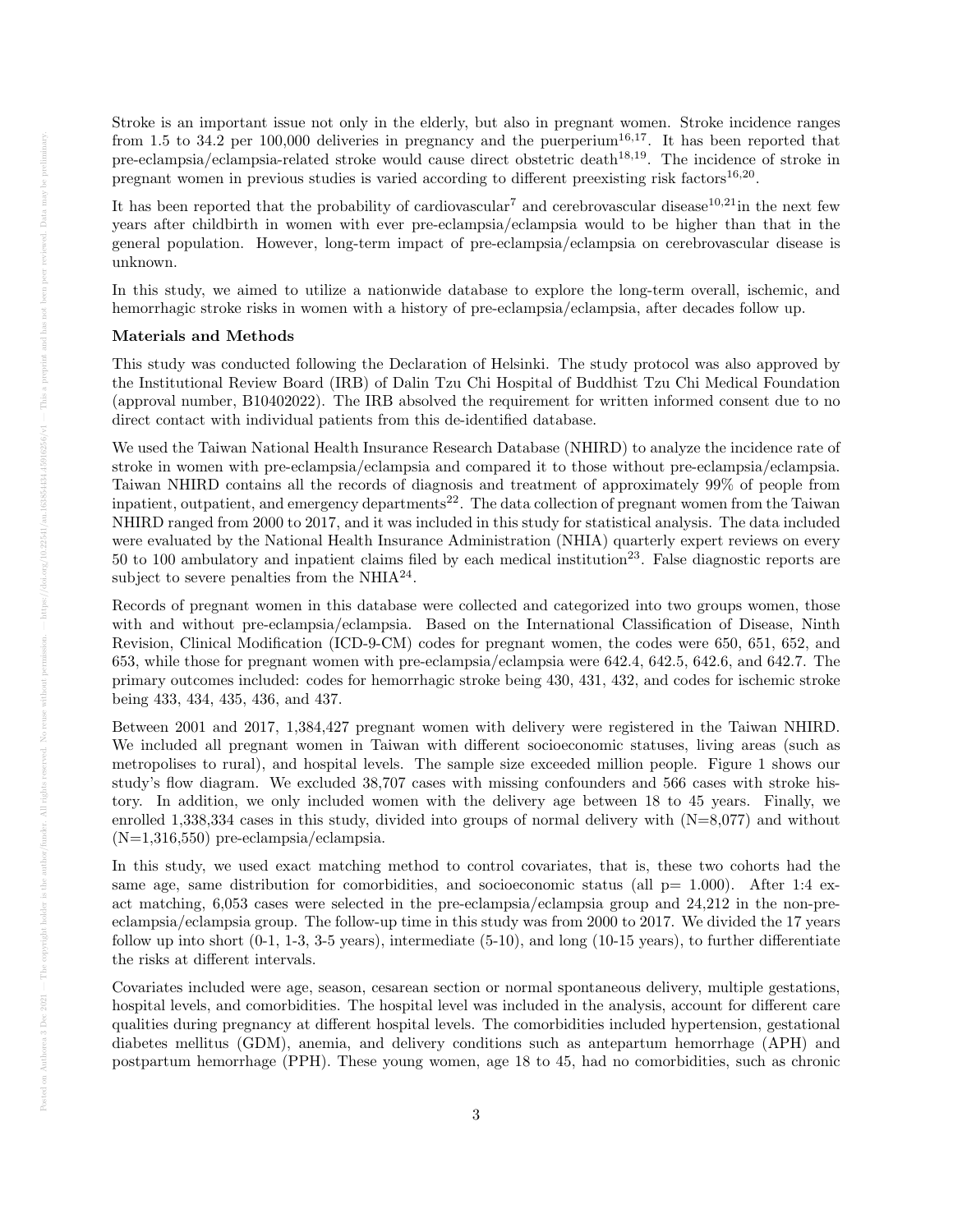Stroke is an important issue not only in the elderly, but also in pregnant women. Stroke incidence ranges from 1.5 to 34.2 per 100,000 deliveries in pregnancy and the puerperium<sup>16,17</sup>. It has been reported that pre-eclampsia/eclampsia-related stroke would cause direct obstetric death<sup>18,19</sup>. The incidence of stroke in pregnant women in previous studies is varied according to different preexisting risk factors<sup>16,20</sup>.

It has been reported that the probability of cardiovascular<sup>7</sup> and cerebrovascular disease<sup>10,21</sup>in the next few years after childbirth in women with ever pre-eclampsia/eclampsia would to be higher than that in the general population. However, long-term impact of pre-eclampsia/eclampsia on cerebrovascular disease is unknown.

In this study, we aimed to utilize a nationwide database to explore the long-term overall, ischemic, and hemorrhagic stroke risks in women with a history of pre-eclampsia/eclampsia, after decades follow up.

## Materials and Methods

This study was conducted following the Declaration of Helsinki. The study protocol was also approved by the Institutional Review Board (IRB) of Dalin Tzu Chi Hospital of Buddhist Tzu Chi Medical Foundation (approval number, B10402022). The IRB absolved the requirement for written informed consent due to no direct contact with individual patients from this de-identified database.

We used the Taiwan National Health Insurance Research Database (NHIRD) to analyze the incidence rate of stroke in women with pre-eclampsia/eclampsia and compared it to those without pre-eclampsia/eclampsia. Taiwan NHIRD contains all the records of diagnosis and treatment of approximately 99% of people from inpatient, outpatient, and emergency departments<sup>22</sup>. The data collection of pregnant women from the Taiwan NHIRD ranged from 2000 to 2017, and it was included in this study for statistical analysis. The data included were evaluated by the National Health Insurance Administration (NHIA) quarterly expert reviews on every 50 to 100 ambulatory and inpatient claims filed by each medical institution<sup>23</sup>. False diagnostic reports are subject to severe penalties from the  $NHIA^{24}$ .

Records of pregnant women in this database were collected and categorized into two groups women, those with and without pre-eclampsia/eclampsia. Based on the International Classification of Disease, Ninth Revision, Clinical Modification (ICD-9-CM) codes for pregnant women, the codes were 650, 651, 652, and 653, while those for pregnant women with pre-eclampsia/eclampsia were 642.4, 642.5, 642.6, and 642.7. The primary outcomes included: codes for hemorrhagic stroke being 430, 431, 432, and codes for ischemic stroke being 433, 434, 435, 436, and 437.

Between 2001 and 2017, 1,384,427 pregnant women with delivery were registered in the Taiwan NHIRD. We included all pregnant women in Taiwan with different socioeconomic statuses, living areas (such as metropolises to rural), and hospital levels. The sample size exceeded million people. Figure 1 shows our study's flow diagram. We excluded 38,707 cases with missing confounders and 566 cases with stroke history. In addition, we only included women with the delivery age between 18 to 45 years. Finally, we enrolled 1,338,334 cases in this study, divided into groups of normal delivery with (N=8,077) and without (N=1,316,550) pre-eclampsia/eclampsia.

In this study, we used exact matching method to control covariates, that is, these two cohorts had the same age, same distribution for comorbidities, and socioeconomic status (all  $p= 1.000$ ). After 1:4 exact matching, 6,053 cases were selected in the pre-eclampsia/eclampsia group and 24,212 in the non-preeclampsia/eclampsia group. The follow-up time in this study was from 2000 to 2017. We divided the 17 years follow up into short  $(0-1, 1-3, 3-5$  years), intermediate  $(5-10)$ , and long  $(10-15$  years), to further differentiate the risks at different intervals.

Covariates included were age, season, cesarean section or normal spontaneous delivery, multiple gestations, hospital levels, and comorbidities. The hospital level was included in the analysis, account for different care qualities during pregnancy at different hospital levels. The comorbidities included hypertension, gestational diabetes mellitus (GDM), anemia, and delivery conditions such as antepartum hemorrhage (APH) and postpartum hemorrhage (PPH). These young women, age 18 to 45, had no comorbidities, such as chronic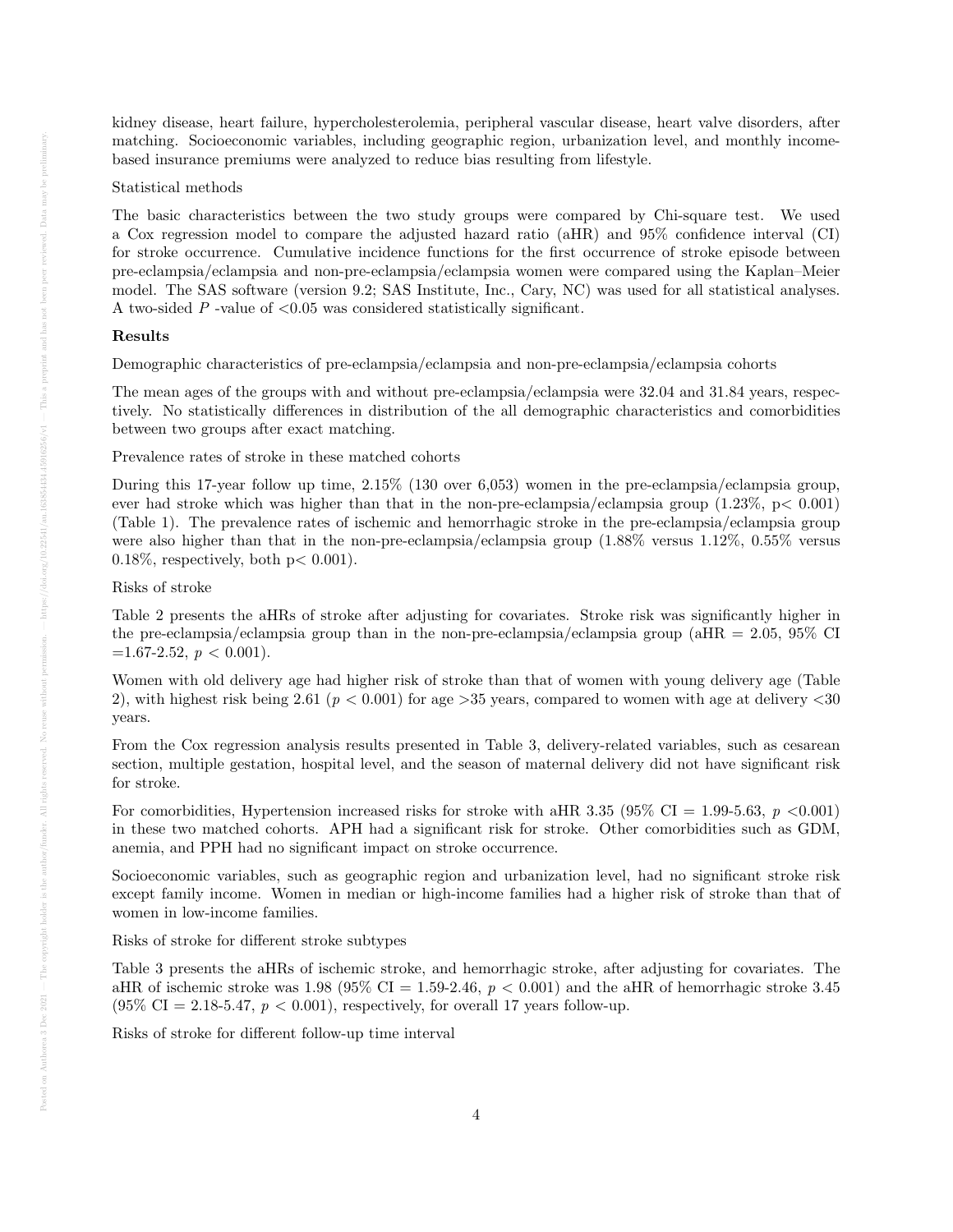kidney disease, heart failure, hypercholesterolemia, peripheral vascular disease, heart valve disorders, after matching. Socioeconomic variables, including geographic region, urbanization level, and monthly incomebased insurance premiums were analyzed to reduce bias resulting from lifestyle.

## Statistical methods

The basic characteristics between the two study groups were compared by Chi-square test. We used a Cox regression model to compare the adjusted hazard ratio (aHR) and 95% confidence interval (CI) for stroke occurrence. Cumulative incidence functions for the first occurrence of stroke episode between pre-eclampsia/eclampsia and non-pre-eclampsia/eclampsia women were compared using the Kaplan–Meier model. The SAS software (version 9.2; SAS Institute, Inc., Cary, NC) was used for all statistical analyses. A two-sided  $P$  -value of  $\langle 0.05 \rangle$  was considered statistically significant.

## Results

Demographic characteristics of pre-eclampsia/eclampsia and non-pre-eclampsia/eclampsia cohorts

The mean ages of the groups with and without pre-eclampsia/eclampsia were 32.04 and 31.84 years, respectively. No statistically differences in distribution of the all demographic characteristics and comorbidities between two groups after exact matching.

Prevalence rates of stroke in these matched cohorts

During this 17-year follow up time, 2.15% (130 over 6,053) women in the pre-eclampsia/eclampsia group, ever had stroke which was higher than that in the non-pre-eclampsia/eclampsia group (1.23%, p< 0.001) (Table 1). The prevalence rates of ischemic and hemorrhagic stroke in the pre-eclampsia/eclampsia group were also higher than that in the non-pre-eclampsia/eclampsia group (1.88% versus 1.12%, 0.55% versus  $0.18\%$ , respectively, both  $p < 0.001$ ).

## Risks of stroke

Table 2 presents the aHRs of stroke after adjusting for covariates. Stroke risk was significantly higher in the pre-eclampsia/eclampsia group than in the non-pre-eclampsia/eclampsia group (aHR = 2.05, 95% CI  $=1.67-2.52, p < 0.001$ ).

Women with old delivery age had higher risk of stroke than that of women with young delivery age (Table 2), with highest risk being 2.61 ( $p < 0.001$ ) for age > 35 years, compared to women with age at delivery  $\lt 30$ years.

From the Cox regression analysis results presented in Table 3, delivery-related variables, such as cesarean section, multiple gestation, hospital level, and the season of maternal delivery did not have significant risk for stroke.

For comorbidities, Hypertension increased risks for stroke with aHR 3.35 (95% CI = 1.99-5.63,  $p \lt 0.001$ ) in these two matched cohorts. APH had a significant risk for stroke. Other comorbidities such as GDM, anemia, and PPH had no significant impact on stroke occurrence.

Socioeconomic variables, such as geographic region and urbanization level, had no significant stroke risk except family income. Women in median or high-income families had a higher risk of stroke than that of women in low-income families.

## Risks of stroke for different stroke subtypes

Table 3 presents the aHRs of ischemic stroke, and hemorrhagic stroke, after adjusting for covariates. The aHR of ischemic stroke was 1.98 (95% CI = 1.59-2.46,  $p < 0.001$ ) and the aHR of hemorrhagic stroke 3.45  $(95\% \text{ CI} = 2.18 - 5.47, p < 0.001)$ , respectively, for overall 17 years follow-up.

Risks of stroke for different follow-up time interval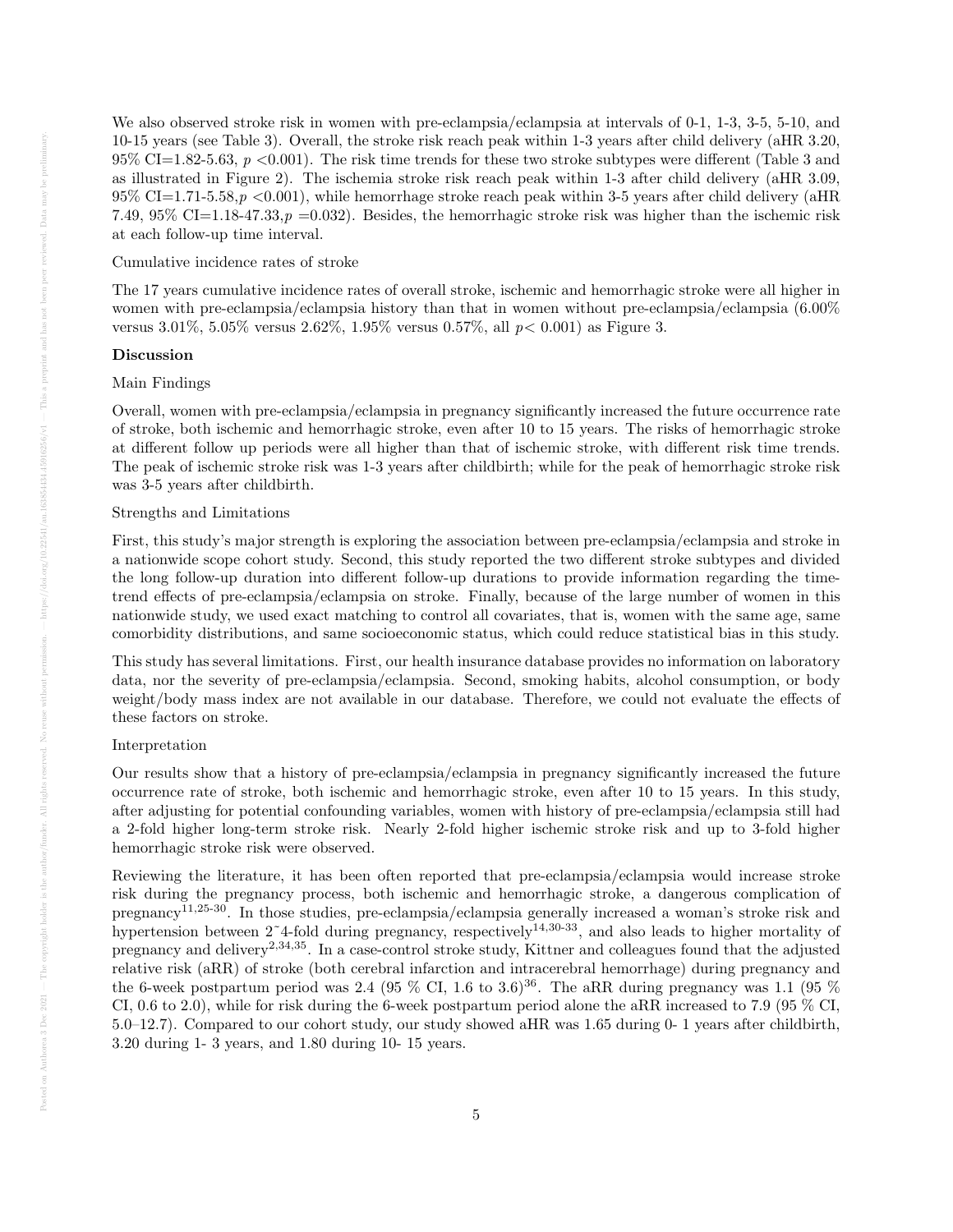We also observed stroke risk in women with pre-eclampsia/eclampsia at intervals of 0-1, 1-3, 3-5, 5-10, and 10-15 years (see Table 3). Overall, the stroke risk reach peak within 1-3 years after child delivery (aHR 3.20,  $95\%$  CI=1.82-5.63, p <0.001). The risk time trends for these two stroke subtypes were different (Table 3 and as illustrated in Figure 2). The ischemia stroke risk reach peak within 1-3 after child delivery (aHR 3.09,  $95\%$  CI=1.71-5.58,  $p \leq 0.001$ , while hemorrhage stroke reach peak within 3-5 years after child delivery (aHR) 7.49, 95% CI=1.18-47.33,  $p = 0.032$ . Besides, the hemorrhagic stroke risk was higher than the ischemic risk at each follow-up time interval.

#### Cumulative incidence rates of stroke

The 17 years cumulative incidence rates of overall stroke, ischemic and hemorrhagic stroke were all higher in women with pre-eclampsia/eclampsia history than that in women without pre-eclampsia/eclampsia (6.00% versus 3.01%, 5.05% versus 2.62%, 1.95% versus 0.57%, all p< 0.001) as Figure 3.

## Discussion

## Main Findings

Overall, women with pre-eclampsia/eclampsia in pregnancy significantly increased the future occurrence rate of stroke, both ischemic and hemorrhagic stroke, even after 10 to 15 years. The risks of hemorrhagic stroke at different follow up periods were all higher than that of ischemic stroke, with different risk time trends. The peak of ischemic stroke risk was 1-3 years after childbirth; while for the peak of hemorrhagic stroke risk was 3-5 years after childbirth.

## Strengths and Limitations

First, this study's major strength is exploring the association between pre-eclampsia/eclampsia and stroke in a nationwide scope cohort study. Second, this study reported the two different stroke subtypes and divided the long follow-up duration into different follow-up durations to provide information regarding the timetrend effects of pre-eclampsia/eclampsia on stroke. Finally, because of the large number of women in this nationwide study, we used exact matching to control all covariates, that is, women with the same age, same comorbidity distributions, and same socioeconomic status, which could reduce statistical bias in this study.

This study has several limitations. First, our health insurance database provides no information on laboratory data, nor the severity of pre-eclampsia/eclampsia. Second, smoking habits, alcohol consumption, or body weight/body mass index are not available in our database. Therefore, we could not evaluate the effects of these factors on stroke.

#### Interpretation

Our results show that a history of pre-eclampsia/eclampsia in pregnancy significantly increased the future occurrence rate of stroke, both ischemic and hemorrhagic stroke, even after 10 to 15 years. In this study, after adjusting for potential confounding variables, women with history of pre-eclampsia/eclampsia still had a 2-fold higher long-term stroke risk. Nearly 2-fold higher ischemic stroke risk and up to 3-fold higher hemorrhagic stroke risk were observed.

Reviewing the literature, it has been often reported that pre-eclampsia/eclampsia would increase stroke risk during the pregnancy process, both ischemic and hemorrhagic stroke, a dangerous complication of pregnancy11,25-30. In those studies, pre-eclampsia/eclampsia generally increased a woman's stroke risk and hypertension between  $2^{\degree}4$ -fold during pregnancy, respectively<sup>14,30-33</sup>, and also leads to higher mortality of pregnancy and delivery2,34,35. In a case-control stroke study, Kittner and colleagues found that the adjusted relative risk (aRR) of stroke (both cerebral infarction and intracerebral hemorrhage) during pregnancy and the 6-week postpartum period was 2.4 (95 % CI, 1.6 to 3.6)<sup>36</sup>. The aRR during pregnancy was 1.1 (95 %) CI, 0.6 to 2.0), while for risk during the 6-week postpartum period alone the aRR increased to 7.9 (95 % CI, 5.0–12.7). Compared to our cohort study, our study showed aHR was 1.65 during 0- 1 years after childbirth, 3.20 during 1- 3 years, and 1.80 during 10- 15 years.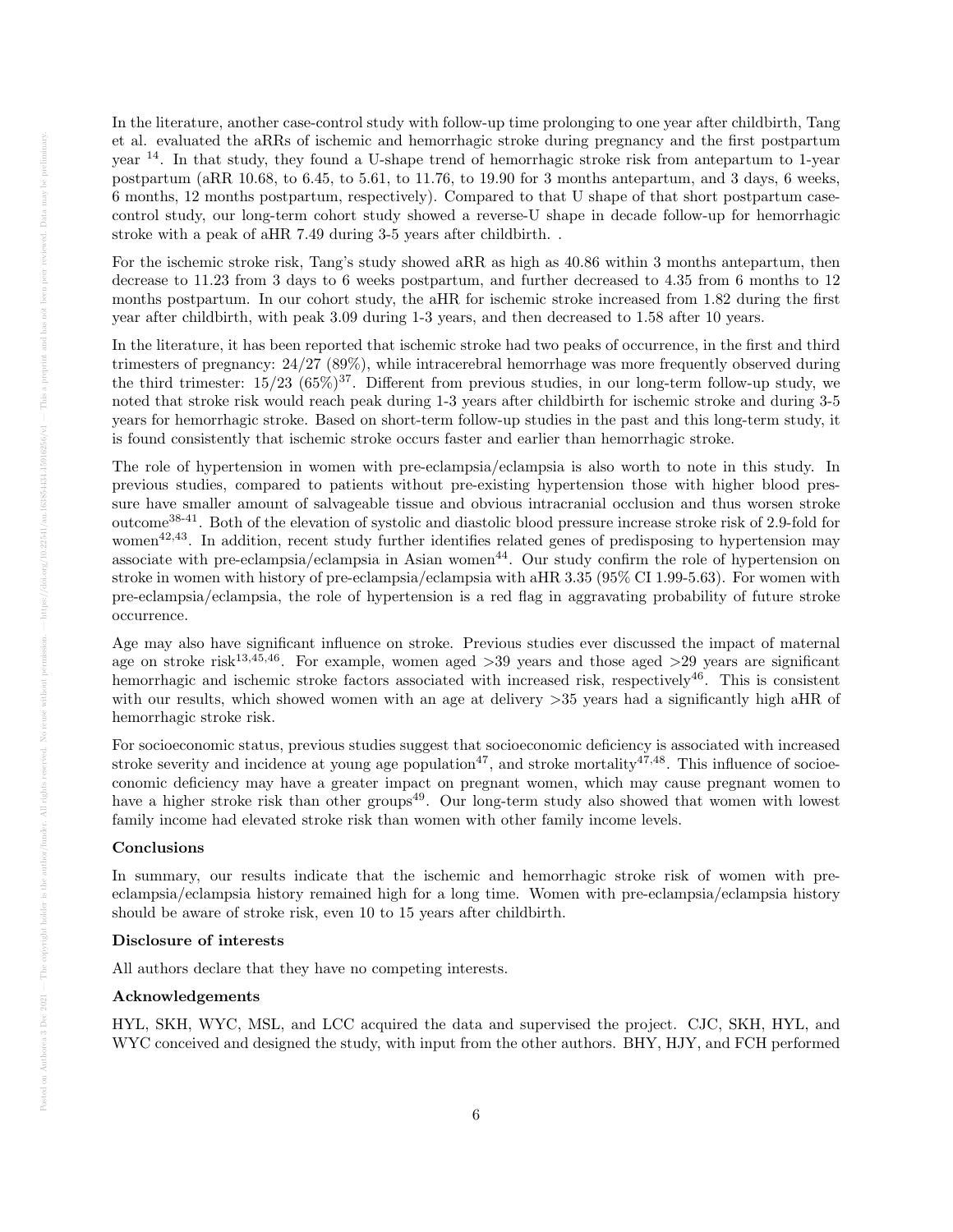In the literature, another case-control study with follow-up time prolonging to one year after childbirth, Tang et al. evaluated the aRRs of ischemic and hemorrhagic stroke during pregnancy and the first postpartum year <sup>14</sup>. In that study, they found a U-shape trend of hemorrhagic stroke risk from antepartum to 1-year postpartum (aRR 10.68, to 6.45, to 5.61, to 11.76, to 19.90 for 3 months antepartum, and 3 days, 6 weeks, 6 months, 12 months postpartum, respectively). Compared to that U shape of that short postpartum casecontrol study, our long-term cohort study showed a reverse-U shape in decade follow-up for hemorrhagic stroke with a peak of aHR 7.49 during 3-5 years after childbirth. .

For the ischemic stroke risk, Tang's study showed aRR as high as 40.86 within 3 months antepartum, then decrease to 11.23 from 3 days to 6 weeks postpartum, and further decreased to 4.35 from 6 months to 12 months postpartum. In our cohort study, the aHR for ischemic stroke increased from 1.82 during the first year after childbirth, with peak 3.09 during 1-3 years, and then decreased to 1.58 after 10 years.

In the literature, it has been reported that ischemic stroke had two peaks of occurrence, in the first and third trimesters of pregnancy: 24/27 (89%), while intracerebral hemorrhage was more frequently observed during the third trimester:  $15/23$  ( $65\%$ )<sup>37</sup>. Different from previous studies, in our long-term follow-up study, we noted that stroke risk would reach peak during 1-3 years after childbirth for ischemic stroke and during 3-5 years for hemorrhagic stroke. Based on short-term follow-up studies in the past and this long-term study, it is found consistently that ischemic stroke occurs faster and earlier than hemorrhagic stroke.

The role of hypertension in women with pre-eclampsia/eclampsia is also worth to note in this study. In previous studies, compared to patients without pre-existing hypertension those with higher blood pressure have smaller amount of salvageable tissue and obvious intracranial occlusion and thus worsen stroke outcome38-41. Both of the elevation of systolic and diastolic blood pressure increase stroke risk of 2.9-fold for women<sup>42,43</sup>. In addition, recent study further identifies related genes of predisposing to hypertension may associate with pre-eclampsia/eclampsia in Asian women<sup>44</sup>. Our study confirm the role of hypertension on stroke in women with history of pre-eclampsia/eclampsia with aHR 3.35 (95% CI 1.99-5.63). For women with pre-eclampsia/eclampsia, the role of hypertension is a red flag in aggravating probability of future stroke occurrence.

Age may also have significant influence on stroke. Previous studies ever discussed the impact of maternal age on stroke risk<sup>13,45,46</sup>. For example, women aged  $>39$  years and those aged  $>29$  years are significant hemorrhagic and ischemic stroke factors associated with increased risk, respectively<sup>46</sup>. This is consistent with our results, which showed women with an age at delivery  $>35$  years had a significantly high aHR of hemorrhagic stroke risk.

For socioeconomic status, previous studies suggest that socioeconomic deficiency is associated with increased stroke severity and incidence at young age population<sup>47</sup>, and stroke mortality<sup>47,48</sup>. This influence of socioeconomic deficiency may have a greater impact on pregnant women, which may cause pregnant women to have a higher stroke risk than other groups<sup>49</sup>. Our long-term study also showed that women with lowest family income had elevated stroke risk than women with other family income levels.

## Conclusions

In summary, our results indicate that the ischemic and hemorrhagic stroke risk of women with preeclampsia/eclampsia history remained high for a long time. Women with pre-eclampsia/eclampsia history should be aware of stroke risk, even 10 to 15 years after childbirth.

## Disclosure of interests

All authors declare that they have no competing interests.

#### Acknowledgements

HYL, SKH, WYC, MSL, and LCC acquired the data and supervised the project. CJC, SKH, HYL, and WYC conceived and designed the study, with input from the other authors. BHY, HJY, and FCH performed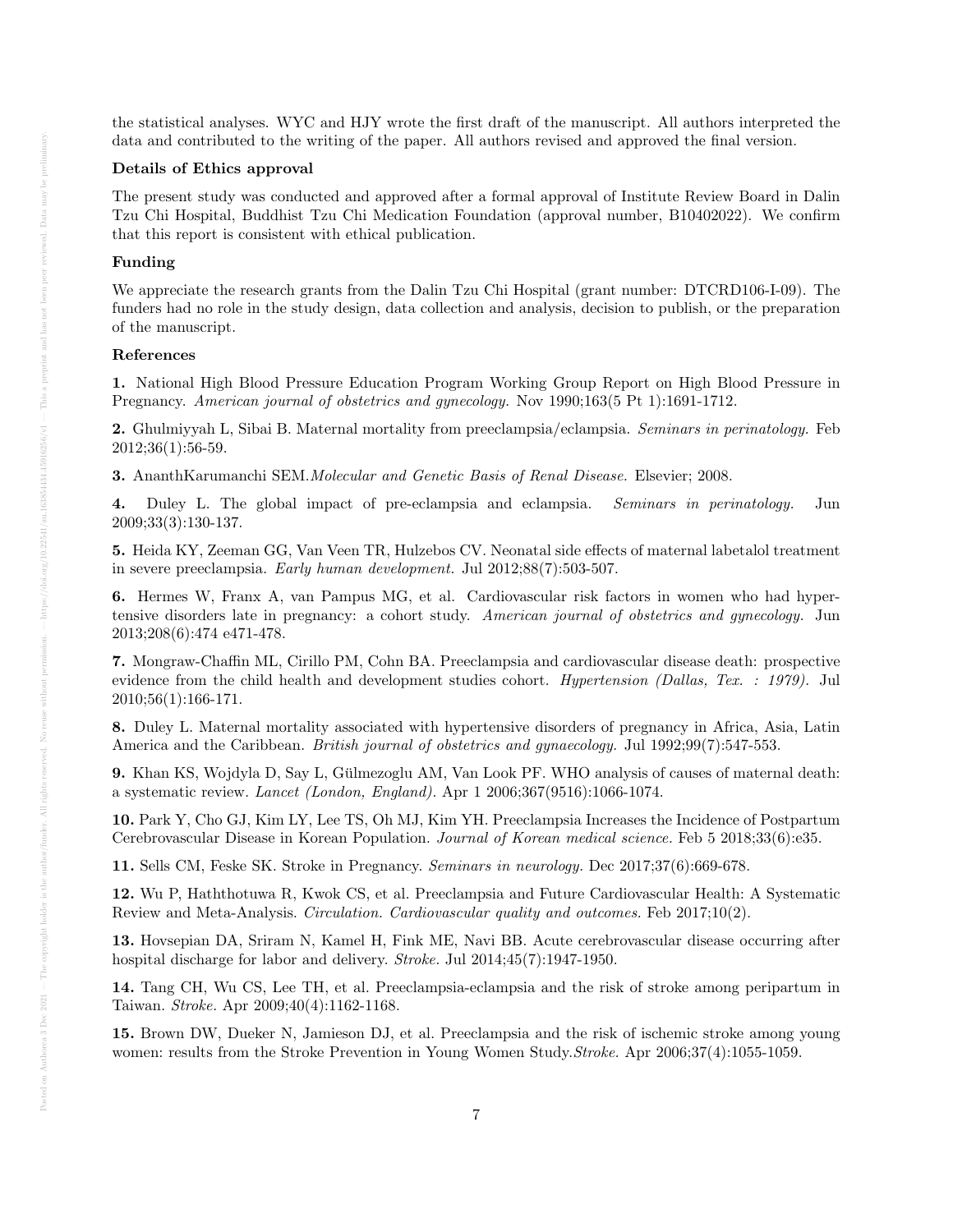the statistical analyses. WYC and HJY wrote the first draft of the manuscript. All authors interpreted the data and contributed to the writing of the paper. All authors revised and approved the final version.

## Details of Ethics approval

The present study was conducted and approved after a formal approval of Institute Review Board in Dalin Tzu Chi Hospital, Buddhist Tzu Chi Medication Foundation (approval number, B10402022). We confirm that this report is consistent with ethical publication.

## Funding

We appreciate the research grants from the Dalin Tzu Chi Hospital (grant number: DTCRD106-I-09). The funders had no role in the study design, data collection and analysis, decision to publish, or the preparation of the manuscript.

#### References

1. National High Blood Pressure Education Program Working Group Report on High Blood Pressure in Pregnancy. American journal of obstetrics and gynecology. Nov 1990;163(5 Pt 1):1691-1712.

2. Ghulmiyyah L, Sibai B. Maternal mortality from preeclampsia/eclampsia. Seminars in perinatology. Feb 2012;36(1):56-59.

3. AnanthKarumanchi SEM.Molecular and Genetic Basis of Renal Disease. Elsevier; 2008.

4. Duley L. The global impact of pre-eclampsia and eclampsia. Seminars in perinatology. Jun 2009;33(3):130-137.

5. Heida KY, Zeeman GG, Van Veen TR, Hulzebos CV. Neonatal side effects of maternal labetalol treatment in severe preeclampsia. Early human development. Jul 2012;88(7):503-507.

6. Hermes W, Franx A, van Pampus MG, et al. Cardiovascular risk factors in women who had hypertensive disorders late in pregnancy: a cohort study. American journal of obstetrics and gynecology. Jun 2013;208(6):474 e471-478.

7. Mongraw-Chaffin ML, Cirillo PM, Cohn BA. Preeclampsia and cardiovascular disease death: prospective evidence from the child health and development studies cohort. Hypertension (Dallas, Tex. : 1979). Jul 2010;56(1):166-171.

8. Duley L. Maternal mortality associated with hypertensive disorders of pregnancy in Africa, Asia, Latin America and the Caribbean. British journal of obstetrics and gynaecology. Jul 1992;99(7):547-553.

9. Khan KS, Wojdyla D, Say L, Gülmezoglu AM, Van Look PF. WHO analysis of causes of maternal death: a systematic review. Lancet (London, England). Apr 1 2006;367(9516):1066-1074.

10. Park Y, Cho GJ, Kim LY, Lee TS, Oh MJ, Kim YH. Preeclampsia Increases the Incidence of Postpartum Cerebrovascular Disease in Korean Population. Journal of Korean medical science. Feb 5 2018;33(6):e35.

11. Sells CM, Feske SK. Stroke in Pregnancy. Seminars in neurology. Dec 2017;37(6):669-678.

12. Wu P, Haththotuwa R, Kwok CS, et al. Preeclampsia and Future Cardiovascular Health: A Systematic Review and Meta-Analysis. Circulation. Cardiovascular quality and outcomes. Feb 2017;10(2).

13. Hovsepian DA, Sriram N, Kamel H, Fink ME, Navi BB. Acute cerebrovascular disease occurring after hospital discharge for labor and delivery. Stroke. Jul 2014;45(7):1947-1950.

14. Tang CH, Wu CS, Lee TH, et al. Preeclampsia-eclampsia and the risk of stroke among peripartum in Taiwan. Stroke. Apr 2009;40(4):1162-1168.

15. Brown DW, Dueker N, Jamieson DJ, et al. Preeclampsia and the risk of ischemic stroke among young women: results from the Stroke Prevention in Young Women Study. Stroke. Apr 2006;37(4):1055-1059.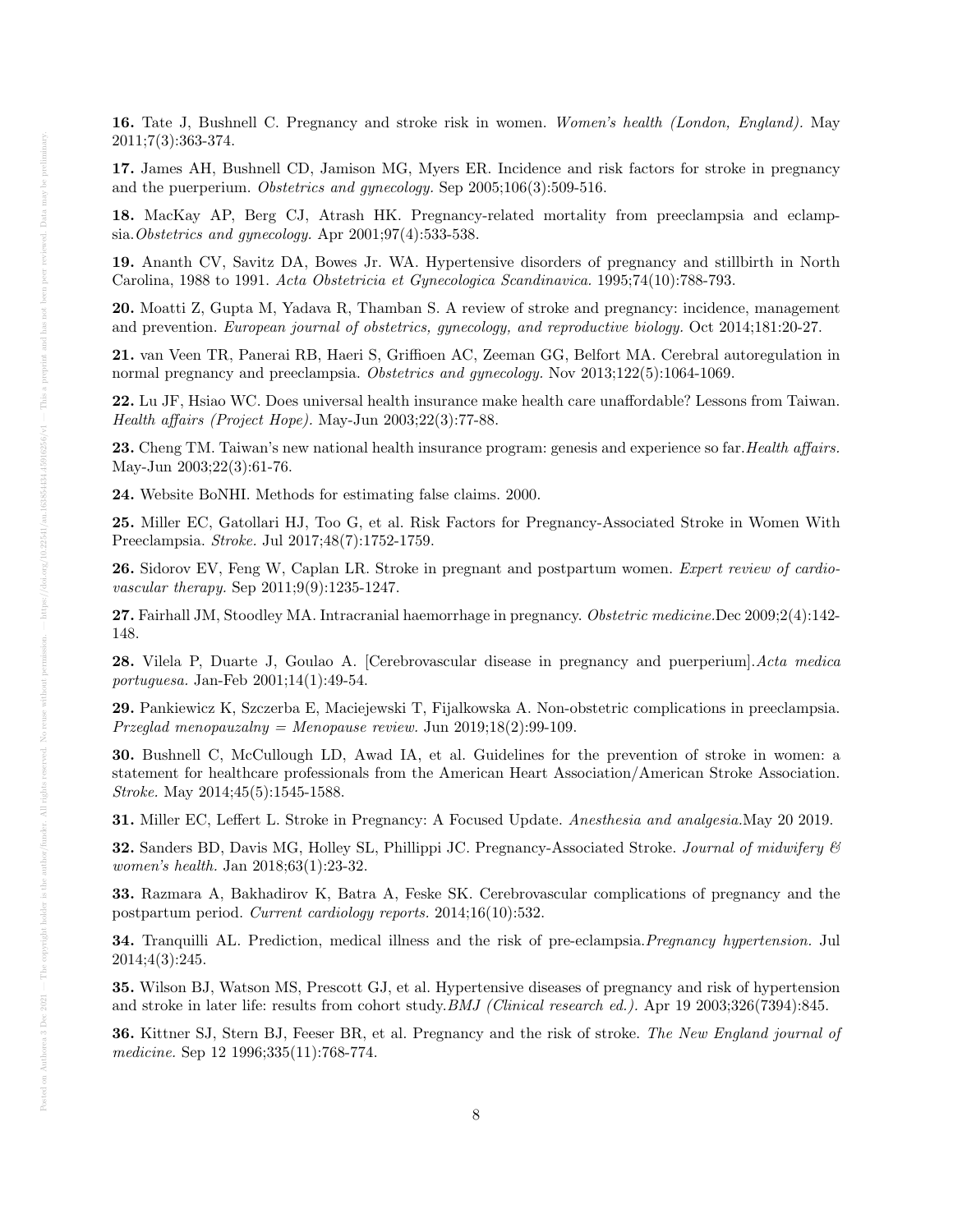16. Tate J, Bushnell C. Pregnancy and stroke risk in women. Women's health (London, England). May 2011;7(3):363-374.

17. James AH, Bushnell CD, Jamison MG, Myers ER. Incidence and risk factors for stroke in pregnancy and the puerperium. Obstetrics and gynecology. Sep 2005;106(3):509-516.

18. MacKay AP, Berg CJ, Atrash HK. Pregnancy-related mortality from preeclampsia and eclampsia.Obstetrics and gynecology. Apr 2001;97(4):533-538.

19. Ananth CV, Savitz DA, Bowes Jr. WA. Hypertensive disorders of pregnancy and stillbirth in North Carolina, 1988 to 1991. Acta Obstetricia et Gynecologica Scandinavica. 1995;74(10):788-793.

20. Moatti Z, Gupta M, Yadava R, Thamban S. A review of stroke and pregnancy: incidence, management and prevention. European journal of obstetrics, gynecology, and reproductive biology. Oct 2014;181:20-27.

21. van Veen TR, Panerai RB, Haeri S, Griffioen AC, Zeeman GG, Belfort MA. Cerebral autoregulation in normal pregnancy and preeclampsia. Obstetrics and gynecology. Nov 2013;122(5):1064-1069.

22. Lu JF, Hsiao WC. Does universal health insurance make health care unaffordable? Lessons from Taiwan. Health affairs (Project Hope). May-Jun 2003;22(3):77-88.

23. Cheng TM. Taiwan's new national health insurance program: genesis and experience so far. Health affairs. May-Jun 2003;22(3):61-76.

24. Website BoNHI. Methods for estimating false claims. 2000.

25. Miller EC, Gatollari HJ, Too G, et al. Risk Factors for Pregnancy-Associated Stroke in Women With Preeclampsia. Stroke. Jul 2017;48(7):1752-1759.

26. Sidorov EV, Feng W, Caplan LR. Stroke in pregnant and postpartum women. Expert review of cardiovascular therapy. Sep 2011;9(9):1235-1247.

27. Fairhall JM, Stoodley MA. Intracranial haemorrhage in pregnancy. Obstetric medicine.Dec 2009;2(4):142-148.

28. Vilela P, Duarte J, Goulao A. [Cerebrovascular disease in pregnancy and puerperium].Acta medica portuguesa. Jan-Feb 2001;14(1):49-54.

29. Pankiewicz K, Szczerba E, Maciejewski T, Fijalkowska A. Non-obstetric complications in preeclampsia. Przeglad menopauzalny = Menopause review. Jun 2019;18(2):99-109.

30. Bushnell C, McCullough LD, Awad IA, et al. Guidelines for the prevention of stroke in women: a statement for healthcare professionals from the American Heart Association/American Stroke Association. Stroke. May 2014;45(5):1545-1588.

31. Miller EC, Leffert L. Stroke in Pregnancy: A Focused Update. Anesthesia and analgesia.May 20 2019.

32. Sanders BD, Davis MG, Holley SL, Phillippi JC. Pregnancy-Associated Stroke. Journal of midwifery  $\mathcal C$ women's health. Jan 2018;63(1):23-32.

33. Razmara A, Bakhadirov K, Batra A, Feske SK. Cerebrovascular complications of pregnancy and the postpartum period. Current cardiology reports. 2014;16(10):532.

34. Tranquilli AL. Prediction, medical illness and the risk of pre-eclampsia. Pregnancy hypertension. Jul 2014;4(3):245.

35. Wilson BJ, Watson MS, Prescott GJ, et al. Hypertensive diseases of pregnancy and risk of hypertension and stroke in later life: results from cohort study.BMJ (Clinical research ed.). Apr 19 2003;326(7394):845.

36. Kittner SJ, Stern BJ, Feeser BR, et al. Pregnancy and the risk of stroke. The New England journal of medicine. Sep 12 1996;335(11):768-774.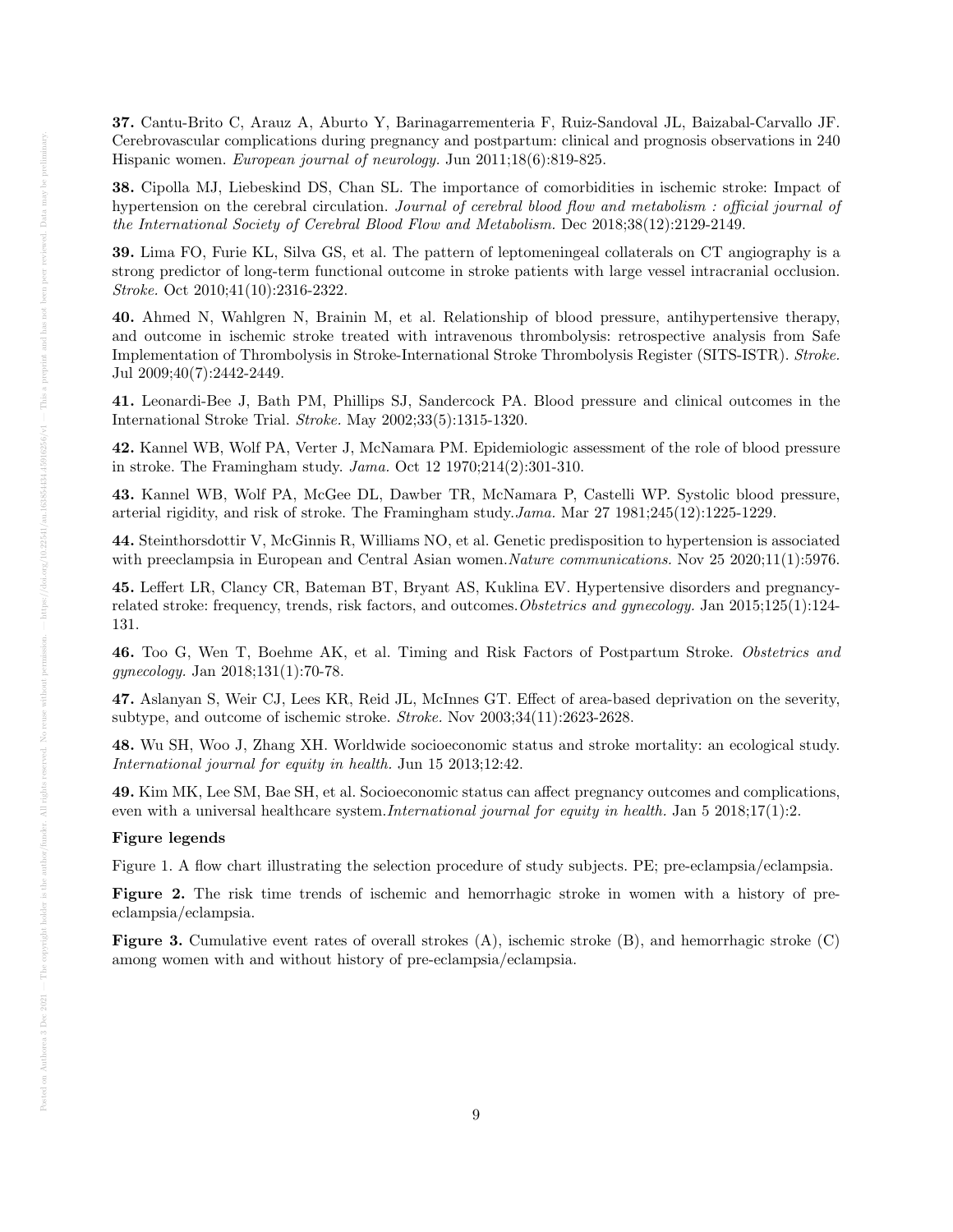37. Cantu-Brito C, Arauz A, Aburto Y, Barinagarrementeria F, Ruiz-Sandoval JL, Baizabal-Carvallo JF. Cerebrovascular complications during pregnancy and postpartum: clinical and prognosis observations in 240 Hispanic women. European journal of neurology. Jun 2011;18(6):819-825.

38. Cipolla MJ, Liebeskind DS, Chan SL. The importance of comorbidities in ischemic stroke: Impact of hypertension on the cerebral circulation. Journal of cerebral blood flow and metabolism : official journal of the International Society of Cerebral Blood Flow and Metabolism. Dec 2018;38(12):2129-2149.

39. Lima FO, Furie KL, Silva GS, et al. The pattern of leptomeningeal collaterals on CT angiography is a strong predictor of long-term functional outcome in stroke patients with large vessel intracranial occlusion. Stroke. Oct 2010;41(10):2316-2322.

40. Ahmed N, Wahlgren N, Brainin M, et al. Relationship of blood pressure, antihypertensive therapy, and outcome in ischemic stroke treated with intravenous thrombolysis: retrospective analysis from Safe Implementation of Thrombolysis in Stroke-International Stroke Thrombolysis Register (SITS-ISTR). Stroke. Jul 2009;40(7):2442-2449.

41. Leonardi-Bee J, Bath PM, Phillips SJ, Sandercock PA. Blood pressure and clinical outcomes in the International Stroke Trial. Stroke. May 2002;33(5):1315-1320.

42. Kannel WB, Wolf PA, Verter J, McNamara PM. Epidemiologic assessment of the role of blood pressure in stroke. The Framingham study. Jama. Oct 12 1970;214(2):301-310.

43. Kannel WB, Wolf PA, McGee DL, Dawber TR, McNamara P, Castelli WP. Systolic blood pressure, arterial rigidity, and risk of stroke. The Framingham study.Jama. Mar 27 1981;245(12):1225-1229.

44. Steinthorsdottir V, McGinnis R, Williams NO, et al. Genetic predisposition to hypertension is associated with preeclampsia in European and Central Asian women. Nature communications. Nov 25 2020;11(1):5976.

45. Leffert LR, Clancy CR, Bateman BT, Bryant AS, Kuklina EV. Hypertensive disorders and pregnancyrelated stroke: frequency, trends, risk factors, and outcomes.Obstetrics and gynecology. Jan 2015;125(1):124- 131.

46. Too G, Wen T, Boehme AK, et al. Timing and Risk Factors of Postpartum Stroke. Obstetrics and gynecology. Jan 2018;131(1):70-78.

47. Aslanyan S, Weir CJ, Lees KR, Reid JL, McInnes GT. Effect of area-based deprivation on the severity, subtype, and outcome of ischemic stroke. Stroke. Nov 2003;34(11):2623-2628.

48. Wu SH, Woo J, Zhang XH. Worldwide socioeconomic status and stroke mortality: an ecological study. International journal for equity in health. Jun 15 2013;12:42.

49. Kim MK, Lee SM, Bae SH, et al. Socioeconomic status can affect pregnancy outcomes and complications, even with a universal healthcare system.*International journal for equity in health*. Jan 5 2018;17(1):2.

## Figure legends

Figure 1. A flow chart illustrating the selection procedure of study subjects. PE; pre-eclampsia/eclampsia.

Figure 2. The risk time trends of ischemic and hemorrhagic stroke in women with a history of preeclampsia/eclampsia.

**Figure 3.** Cumulative event rates of overall strokes  $(A)$ , ischemic stroke  $(B)$ , and hemorrhagic stroke  $(C)$ among women with and without history of pre-eclampsia/eclampsia.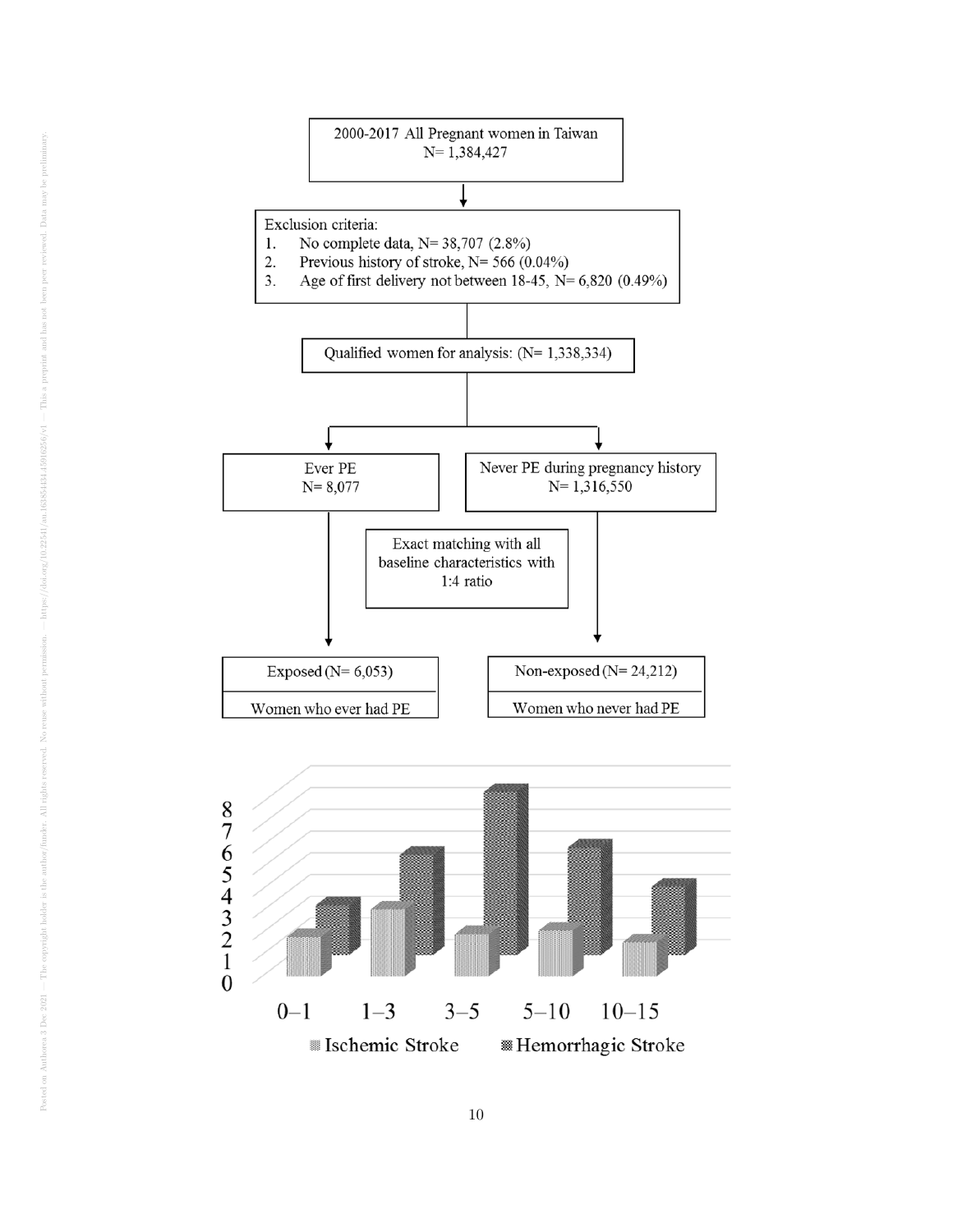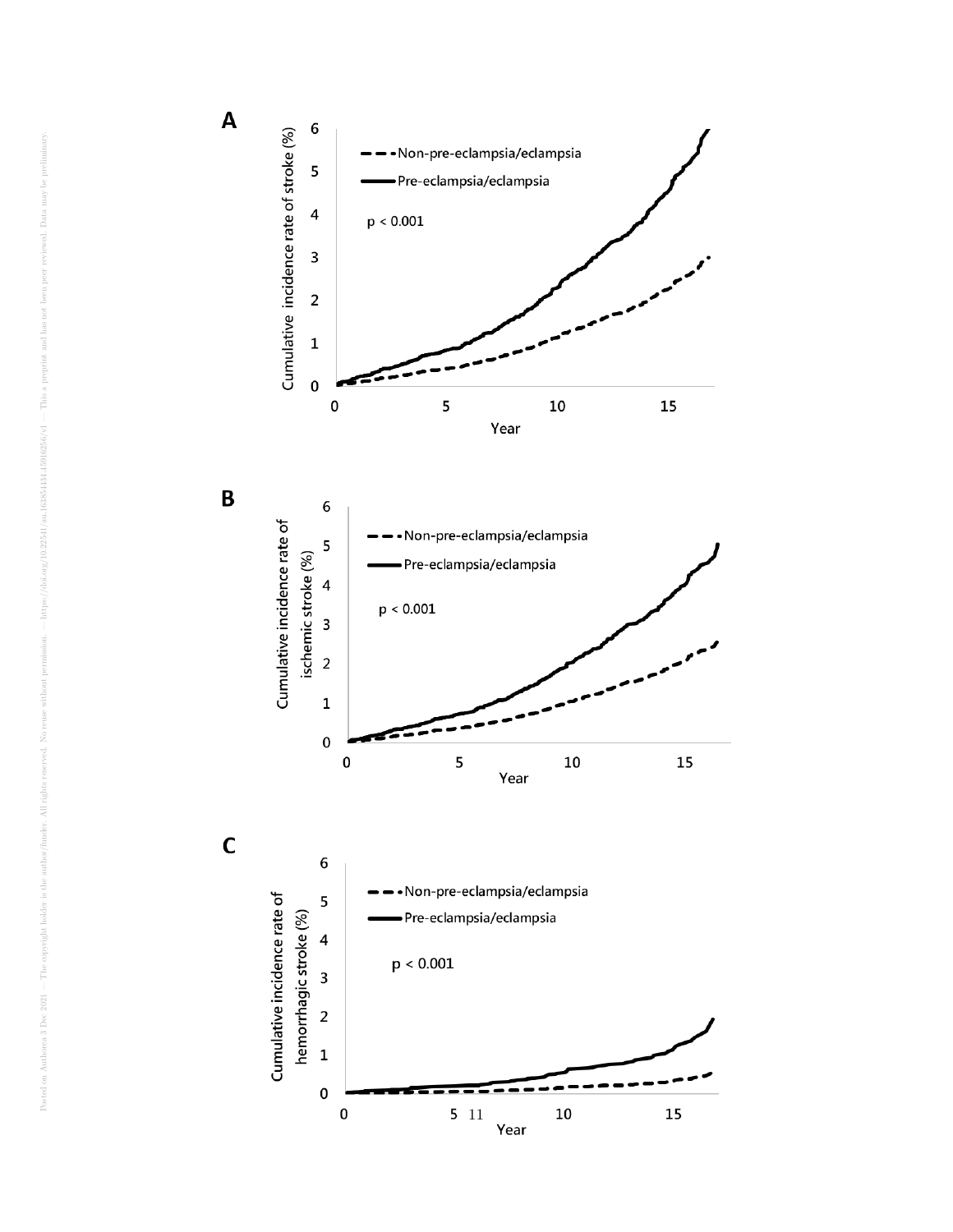